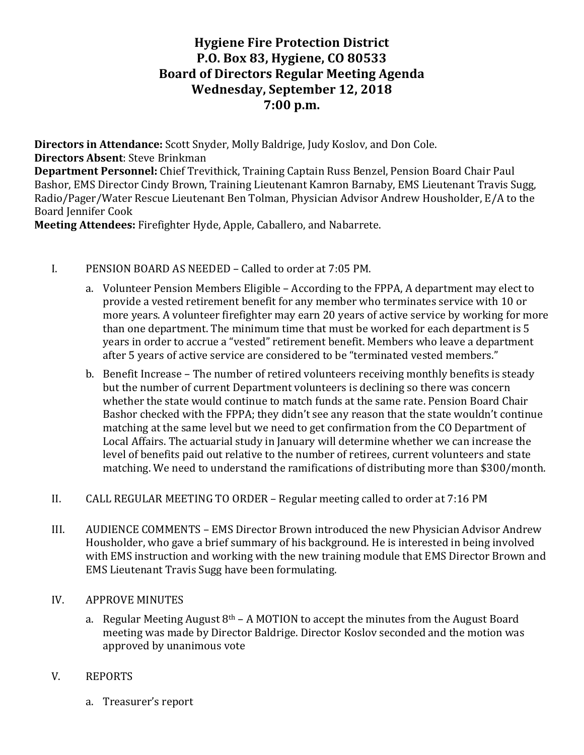# **Hygiene Fire Protection District P.O. Box 83, Hygiene, CO 80533 Board of Directors Regular Meeting Agenda Wednesday, September 12, 2018 7:00 p.m.**

**Directors in Attendance:** Scott Snyder, Molly Baldrige, Judy Koslov, and Don Cole. **Directors Absent:** Steve Brinkman

**Department Personnel:** Chief Trevithick, Training Captain Russ Benzel, Pension Board Chair Paul Bashor, EMS Director Cindy Brown, Training Lieutenant Kamron Barnaby, EMS Lieutenant Travis Sugg, Radio/Pager/Water Rescue Lieutenant Ben Tolman, Physician Advisor Andrew Housholder, E/A to the Board Jennifer Cook

**Meeting Attendees:** Firefighter Hyde, Apple, Caballero, and Nabarrete.

## I. PENSION BOARD AS NEEDED – Called to order at 7:05 PM.

- a. Volunteer Pension Members Eligible According to the FPPA, A department may elect to provide a vested retirement benefit for any member who terminates service with 10 or more years. A volunteer firefighter may earn 20 years of active service by working for more than one department. The minimum time that must be worked for each department is 5 years in order to accrue a "vested" retirement benefit. Members who leave a department after 5 years of active service are considered to be "terminated vested members."
- b. Benefit Increase The number of retired volunteers receiving monthly benefits is steady but the number of current Department volunteers is declining so there was concern whether the state would continue to match funds at the same rate. Pension Board Chair Bashor checked with the FPPA; they didn't see any reason that the state wouldn't continue matching at the same level but we need to get confirmation from the CO Department of Local Affairs. The actuarial study in January will determine whether we can increase the level of benefits paid out relative to the number of retirees, current volunteers and state matching. We need to understand the ramifications of distributing more than \$300/month.
- II. CALL REGULAR MEETING TO ORDER Regular meeting called to order at 7:16 PM
- III. AUDIENCE COMMENTS EMS Director Brown introduced the new Physician Advisor Andrew Housholder, who gave a brief summary of his background. He is interested in being involved with EMS instruction and working with the new training module that EMS Director Brown and EMS Lieutenant Travis Sugg have been formulating.

## IV. APPROVE MINUTES

- a. Regular Meeting August  $8<sup>th</sup> A MOTION$  to accept the minutes from the August Board meeting was made by Director Baldrige. Director Koslov seconded and the motion was approved by unanimous vote
- V. REPORTS
	- a. Treasurer's report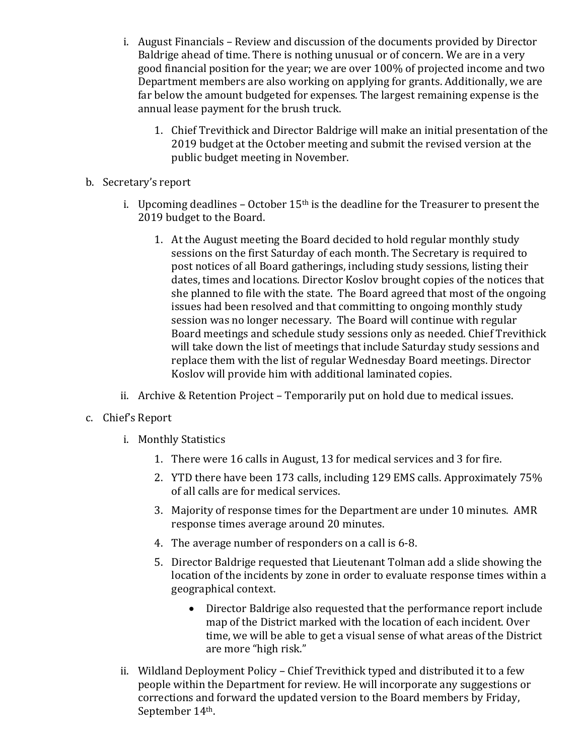- i. August Financials Review and discussion of the documents provided by Director Baldrige ahead of time. There is nothing unusual or of concern. We are in a very good financial position for the year; we are over 100% of projected income and two Department members are also working on applying for grants. Additionally, we are far below the amount budgeted for expenses. The largest remaining expense is the annual lease payment for the brush truck.
	- 1. Chief Trevithick and Director Baldrige will make an initial presentation of the 2019 budget at the October meeting and submit the revised version at the public budget meeting in November.
- b. Secretary's report
	- i. Upcoming deadlines October  $15<sup>th</sup>$  is the deadline for the Treasurer to present the 2019 budget to the Board.
		- 1. At the August meeting the Board decided to hold regular monthly study sessions on the first Saturday of each month. The Secretary is required to post notices of all Board gatherings, including study sessions, listing their dates, times and locations. Director Koslov brought copies of the notices that she planned to file with the state. The Board agreed that most of the ongoing issues had been resolved and that committing to ongoing monthly study session was no longer necessary. The Board will continue with regular Board meetings and schedule study sessions only as needed. Chief Trevithick will take down the list of meetings that include Saturday study sessions and replace them with the list of regular Wednesday Board meetings. Director Koslov will provide him with additional laminated copies.
	- ii. Archive & Retention Project Temporarily put on hold due to medical issues.
- c. Chief's Report
	- i. Monthly Statistics
		- 1. There were 16 calls in August, 13 for medical services and 3 for fire.
		- 2. YTD there have been 173 calls, including 129 EMS calls. Approximately 75% of all calls are for medical services.
		- 3. Majority of response times for the Department are under 10 minutes. AMR response times average around 20 minutes.
		- 4. The average number of responders on a call is 6-8.
		- 5. Director Baldrige requested that Lieutenant Tolman add a slide showing the location of the incidents by zone in order to evaluate response times within a geographical context.
			- Director Baldrige also requested that the performance report include map of the District marked with the location of each incident. Over time, we will be able to get a visual sense of what areas of the District are more "high risk."
	- ii. Wildland Deployment Policy Chief Trevithick typed and distributed it to a few people within the Department for review. He will incorporate any suggestions or corrections and forward the updated version to the Board members by Friday, September 14<sup>th</sup>.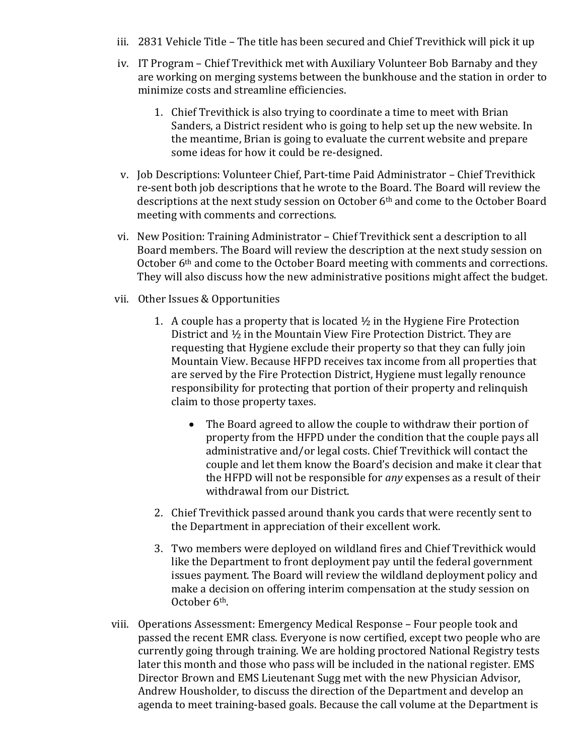- iii. 2831 Vehicle Title The title has been secured and Chief Trevithick will pick it up
- iv. IT Program Chief Trevithick met with Auxiliary Volunteer Bob Barnaby and they are working on merging systems between the bunkhouse and the station in order to minimize costs and streamline efficiencies.
	- 1. Chief Trevithick is also trying to coordinate a time to meet with Brian Sanders, a District resident who is going to help set up the new website. In the meantime, Brian is going to evaluate the current website and prepare some ideas for how it could be re-designed.
- v. Job Descriptions: Volunteer Chief, Part-time Paid Administrator Chief Trevithick re-sent both job descriptions that he wrote to the Board. The Board will review the descriptions at the next study session on October 6<sup>th</sup> and come to the October Board meeting with comments and corrections.
- vi. New Position: Training Administrator Chief Trevithick sent a description to all Board members. The Board will review the description at the next study session on October 6<sup>th</sup> and come to the October Board meeting with comments and corrections. They will also discuss how the new administrative positions might affect the budget.
- vii. Other Issues & Opportunities
	- 1. A couple has a property that is located  $\frac{1}{2}$  in the Hygiene Fire Protection District and  $\frac{1}{2}$  in the Mountain View Fire Protection District. They are requesting that Hygiene exclude their property so that they can fully join Mountain View. Because HFPD receives tax income from all properties that are served by the Fire Protection District, Hygiene must legally renounce responsibility for protecting that portion of their property and relinquish claim to those property taxes.
		- The Board agreed to allow the couple to withdraw their portion of property from the HFPD under the condition that the couple pays all administrative and/or legal costs. Chief Trevithick will contact the couple and let them know the Board's decision and make it clear that the HFPD will not be responsible for *any* expenses as a result of their withdrawal from our District.
	- 2. Chief Trevithick passed around thank you cards that were recently sent to the Department in appreciation of their excellent work.
	- 3. Two members were deployed on wildland fires and Chief Trevithick would like the Department to front deployment pay until the federal government issues payment. The Board will review the wildland deployment policy and make a decision on offering interim compensation at the study session on October 6<sup>th</sup>.
- viii. Operations Assessment: Emergency Medical Response Four people took and passed the recent EMR class. Everyone is now certified, except two people who are currently going through training. We are holding proctored National Registry tests later this month and those who pass will be included in the national register. EMS Director Brown and EMS Lieutenant Sugg met with the new Physician Advisor, Andrew Housholder, to discuss the direction of the Department and develop an agenda to meet training-based goals. Because the call volume at the Department is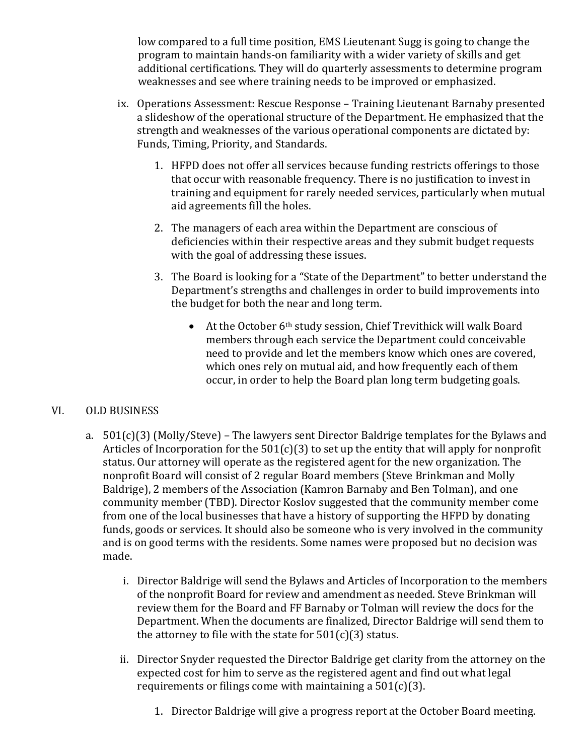low compared to a full time position, EMS Lieutenant Sugg is going to change the program to maintain hands-on familiarity with a wider variety of skills and get additional certifications. They will do quarterly assessments to determine program weaknesses and see where training needs to be improved or emphasized.

- ix. Operations Assessment: Rescue Response Training Lieutenant Barnaby presented a slideshow of the operational structure of the Department. He emphasized that the strength and weaknesses of the various operational components are dictated by: Funds, Timing, Priority, and Standards.
	- 1. HFPD does not offer all services because funding restricts offerings to those that occur with reasonable frequency. There is no justification to invest in training and equipment for rarely needed services, particularly when mutual aid agreements fill the holes.
	- 2. The managers of each area within the Department are conscious of deficiencies within their respective areas and they submit budget requests with the goal of addressing these issues.
	- 3. The Board is looking for a "State of the Department" to better understand the Department's strengths and challenges in order to build improvements into the budget for both the near and long term.
		- At the October  $6<sup>th</sup>$  study session, Chief Trevithick will walk Board members through each service the Department could conceivable need to provide and let the members know which ones are covered, which ones rely on mutual aid, and how frequently each of them occur, in order to help the Board plan long term budgeting goals.

# VI. OLD BUSINESS

- a.  $501(c)(3)$  (Molly/Steve) The lawyers sent Director Baldrige templates for the Bylaws and Articles of Incorporation for the  $501(c)(3)$  to set up the entity that will apply for nonprofit status. Our attorney will operate as the registered agent for the new organization. The nonprofit Board will consist of 2 regular Board members (Steve Brinkman and Molly Baldrige), 2 members of the Association (Kamron Barnaby and Ben Tolman), and one community member (TBD). Director Koslov suggested that the community member come from one of the local businesses that have a history of supporting the HFPD by donating funds, goods or services. It should also be someone who is very involved in the community and is on good terms with the residents. Some names were proposed but no decision was made.
	- i. Director Baldrige will send the Bylaws and Articles of Incorporation to the members of the nonprofit Board for review and amendment as needed. Steve Brinkman will review them for the Board and FF Barnaby or Tolman will review the docs for the Department. When the documents are finalized, Director Baldrige will send them to the attorney to file with the state for  $501(c)(3)$  status.
	- ii. Director Snyder requested the Director Baldrige get clarity from the attorney on the expected cost for him to serve as the registered agent and find out what legal requirements or filings come with maintaining a  $501(c)(3)$ .
		- 1. Director Baldrige will give a progress report at the October Board meeting.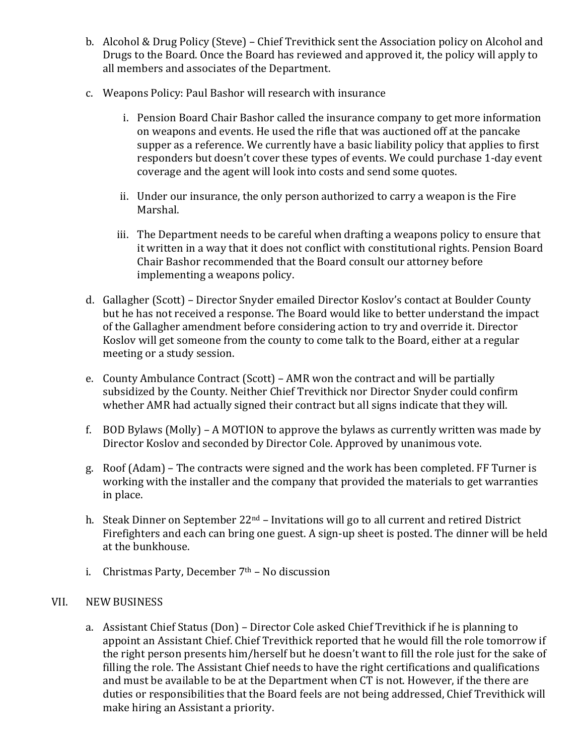- b. Alcohol & Drug Policy (Steve) Chief Trevithick sent the Association policy on Alcohol and Drugs to the Board. Once the Board has reviewed and approved it, the policy will apply to all members and associates of the Department.
- c. Weapons Policy: Paul Bashor will research with insurance
	- i. Pension Board Chair Bashor called the insurance company to get more information on weapons and events. He used the rifle that was auctioned off at the pancake supper as a reference. We currently have a basic liability policy that applies to first responders but doesn't cover these types of events. We could purchase 1-day event coverage and the agent will look into costs and send some quotes.
	- ii. Under our insurance, the only person authorized to carry a weapon is the Fire Marshal.
	- iii. The Department needs to be careful when drafting a weapons policy to ensure that it written in a way that it does not conflict with constitutional rights. Pension Board Chair Bashor recommended that the Board consult our attorney before implementing a weapons policy.
- d. Gallagher (Scott) Director Snyder emailed Director Koslov's contact at Boulder County but he has not received a response. The Board would like to better understand the impact of the Gallagher amendment before considering action to try and override it. Director Koslov will get someone from the county to come talk to the Board, either at a regular meeting or a study session.
- e. County Ambulance Contract (Scott) AMR won the contract and will be partially subsidized by the County. Neither Chief Trevithick nor Director Snyder could confirm whether AMR had actually signed their contract but all signs indicate that they will.
- f. BOD Bylaws  $(Molly) A MOTION$  to approve the bylaws as currently written was made by Director Koslov and seconded by Director Cole. Approved by unanimous vote.
- g. Roof (Adam) The contracts were signed and the work has been completed. FF Turner is working with the installer and the company that provided the materials to get warranties in place.
- h. Steak Dinner on September  $22^{nd}$  Invitations will go to all current and retired District Firefighters and each can bring one guest. A sign-up sheet is posted. The dinner will be held at the bunkhouse.
- i. Christmas Party, December  $7<sup>th</sup>$  No discussion

## VII. NEW BUSINESS

a. Assistant Chief Status (Don) - Director Cole asked Chief Trevithick if he is planning to appoint an Assistant Chief. Chief Trevithick reported that he would fill the role tomorrow if the right person presents him/herself but he doesn't want to fill the role just for the sake of filling the role. The Assistant Chief needs to have the right certifications and qualifications and must be available to be at the Department when CT is not. However, if the there are duties or responsibilities that the Board feels are not being addressed, Chief Trevithick will make hiring an Assistant a priority.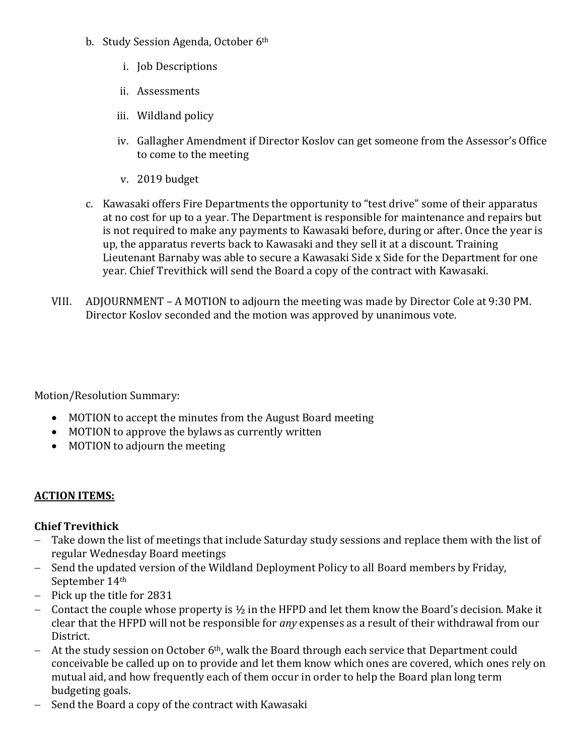- b. Study Session Agenda, October 6<sup>th</sup>
	- i. Job Descriptions
	- ii. Assessments
	- iii. Wildland policy
	- iv. Gallagher Amendment if Director Koslov can get someone from the Assessor's Office to come to the meeting
	- v. 2019 budget
- c. Kawasaki offers Fire Departments the opportunity to "test drive" some of their apparatus at no cost for up to a year. The Department is responsible for maintenance and repairs but is not required to make any payments to Kawasaki before, during or after. Once the year is up, the apparatus reverts back to Kawasaki and they sell it at a discount. Training Lieutenant Barnaby was able to secure a Kawasaki Side x Side for the Department for one year. Chief Trevithick will send the Board a copy of the contract with Kawasaki.
- VIII. ADJOURNMENT A MOTION to adjourn the meeting was made by Director Cole at 9:30 PM. Director Koslov seconded and the motion was approved by unanimous vote.

Motion/Resolution Summary:

- MOTION to accept the minutes from the August Board meeting
- MOTION to approve the bylaws as currently written
- MOTION to adjourn the meeting

## **ACTION ITEMS:**

## **Chief Trevithick**

- Take down the list of meetings that include Saturday study sessions and replace them with the list of regular Wednesday Board meetings
- Send the updated version of the Wildland Deployment Policy to all Board members by Friday, September 14th
- $-$  Pick up the title for 2831
- Contact the couple whose property is  $\frac{1}{2}$  in the HFPD and let them know the Board's decision. Make it clear that the HFPD will not be responsible for *any* expenses as a result of their withdrawal from our District.
- At the study session on October  $6<sup>th</sup>$ , walk the Board through each service that Department could conceivable be called up on to provide and let them know which ones are covered, which ones rely on mutual aid, and how frequently each of them occur in order to help the Board plan long term budgeting goals.
- Send the Board a copy of the contract with Kawasaki